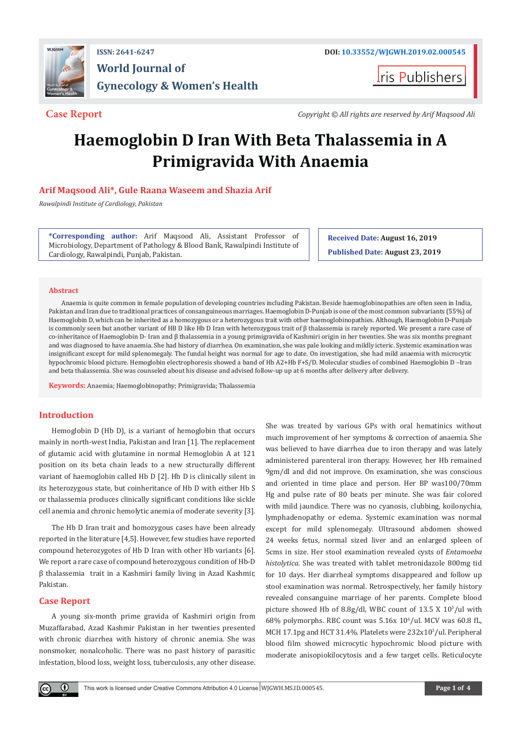

## **ISSN: 2641-6247 DOI: [10.33552/WJGWH.2019.02.000545](http://dx.doi.org/10.33552/WJGWH.2019.02.000545) World Journal of Gynecology & Women's Health**

ris Publishers

**Case Report** *Copyright © All rights are reserved by Arif Maqsood Ali*

# **Haemoglobin D Iran With Beta Thalassemia in A Primigravida With Anaemia**

### **Arif Maqsood Ali\*, Gule Raana Waseem and Shazia Arif**

*Rawalpindi Institute of Cardiology, Pakistan*

**\*Corresponding author:** Arif Maqsood Ali, Assistant Professor of Microbiology, Department of Pathology & Blood Bank, Rawalpindi Institute of Cardiology, Rawalpindi, Punjab, Pakistan.

**Received Date: August 16, 2019 Published Date: August 23, 2019**

#### **Abstract**

Anaemia is quite common in female population of developing countries including Pakistan. Beside haemoglobinopathies are often seen in India, Pakistan and Iran due to traditional practices of consanguineous marriages. Haemoglobin D-Punjab is one of the most common subvariants (55%) of Haemoglobin D, which can be inherited as a homozygous or a heterozygous trait with other haemoglobinopathies. Although, Haemoglobin D-Punjab is commonly seen but another variant of HB D like Hb D Iran with heterozygous trait of β thalassemia is rarely reported. We present a rare case of co-inheritance of Haemoglobin D- Iran and β thalassemia in a young primigravida of Kashmiri origin in her twenties. She was six months pregnant and was diagnosed to have anaemia. She had history of diarrhea. On examination, she was pale looking and mildly icteric. Systemic examination was insignificant except for mild splenomegaly. The fundal height was normal for age to date. On investigation, she had mild anaemia with microcytic hypochromic blood picture. Hemoglobin electrophoresis showed a band of Hb A2+Hb F+S/D. Molecular studies of combined Haemoglobin D –Iran and beta thalassemia. She was counseled about his disease and advised follow-up up at 6 months after delivery after delivery.

**Keywords:** Anaemia; Haemoglobinopathy; Primigravida; Thalassemia

#### **Introduction**

Hemoglobin D (Hb D), is a variant of hemoglobin that occurs mainly in north-west India, Pakistan and Iran [1]. The replacement of glutamic acid with glutamine in normal Hemoglobin A at 121 position on its beta chain leads to a new structurally different variant of haemoglobin called Hb D [2]. Hb D is clinically silent in its heterozygous state, but coinheritance of Hb D with either Hb S or thalassemia produces clinically significant conditions like sickle cell anemia and chronic hemolytic anemia of moderate severity [3].

The Hb D Iran trait and homozygous cases have been already reported in the literature [4,5]. However, few studies have reported compound heterozygotes of Hb D Iran with other Hb variants [6]. We report a rare case of compound heterozygous condition of Hb-D β thalassemia trait in a Kashmiri family living in Azad Kashmir, Pakistan.

#### **Case Report**

 $\bf \Theta$ 

A young six-month prime gravida of Kashmiri origin from Muzaffarabad, Azad Kashmir Pakistan in her twenties presented with chronic diarrhea with history of chronic anemia. She was nonsmoker, nonalcoholic. There was no past history of parasitic infestation, blood loss, weight loss, tuberculosis, any other disease.

She was treated by various GPs with oral hematinics without much improvement of her symptoms & correction of anaemia. She was believed to have diarrhea due to iron therapy and was lately administered parenteral iron therapy. However, her Hb remained 9gm/dl and did not improve. On examination, she was conscious and oriented in time place and person. Her BP was100/70mm Hg and pulse rate of 80 beats per minute. She was fair colored with mild jaundice. There was no cyanosis, clubbing, koilonychia, lymphadenopathy or edema. Systemic examination was normal except for mild splenomegaly. Ultrasound abdomen showed 24 weeks fetus, normal sized liver and an enlarged spleen of 5cms in size. Her stool examination revealed cysts of *Entamoeba histolytica.* She was treated with tablet metronidazole 800mg tid for 10 days. Her diarrheal symptoms disappeared and follow up stool examination was normal. Retrospectively, her family history revealed consanguine marriage of her parents. Complete blood picture showed Hb of 8.8g/dl, WBC count of 13.5 X 103 /ul with  $68\%$  polymorphs. RBC count was  $5.16x$  10 $^{\circ}/$ ul. MCV was  $60.8$  fL, MCH 17.1pg and HCT 31.4%. Platelets were 232x10<sup>3</sup>/ul. Peripheral blood film showed microcytic hypochromic blood picture with moderate anisopiokilocytosis and a few target cells. Reticulocyte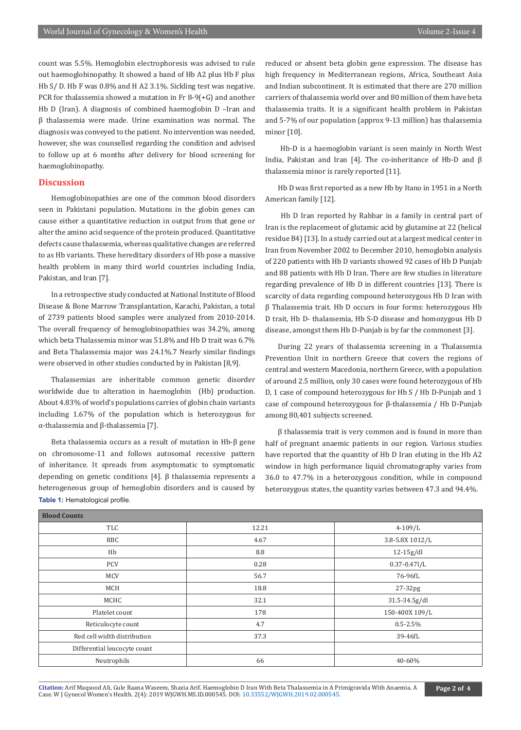count was 5.5%. Hemoglobin electrophoresis was advised to rule out haemoglobinopathy. It showed a band of Hb A2 plus Hb F plus Hb S/ D. Hb F was 0.8% and H A2 3.1%. Sickling test was negative. PCR for thalassemia showed a mutation in Fr 8-9(+G) and another Hb D (Iran). A diagnosis of combined haemoglobin D –Iran and β thalassemia were made. Urine examination was normal. The diagnosis was conveyed to the patient. No intervention was needed, however, she was counselled regarding the condition and advised to follow up at 6 months after delivery for blood screening for haemoglobinopathy.

#### **Discussion**

Hemoglobinopathies are one of the common blood disorders seen in Pakistani population. Mutations in the globin genes can cause either a quantitative reduction in output from that gene or alter the amino acid sequence of the protein produced. Quantitative defects cause thalassemia, whereas qualitative changes are referred to as Hb variants. These hereditary disorders of Hb pose a massive health problem in many third world countries including India, Pakistan, and Iran [7].

In a retrospective study conducted at National Institute of Blood Disease & Bone Marrow Transplantation, Karachi, Pakistan, a total of 2739 patients blood samples were analyzed from 2010-2014. The overall frequency of hemoglobinopathies was 34.2%, among which beta Thalassemia minor was 51.8% and Hb D trait was 6.7% and Beta Thalassemia major was 24.1%.7 Nearly similar findings were observed in other studies conducted by in Pakistan [8,9].

Thalassemias are inheritable common genetic disorder worldwide due to alteration in haemoglobin (Hb) production. About 4.83% of world's populations carries of globin chain variants including 1.67% of the population which is heterozygous for α-thalassemia and β-thalassemia [7].

Beta thalassemia occurs as a result of mutation in Hb-β gene on chromosome-11 and follows autosomal recessive pattern of inheritance. It spreads from asymptomatic to symptomatic depending on genetic conditions [4]. β thalassemia represents a heterogeneous group of hemoglobin disorders and is caused by **Table 1:** Hematological profile.

reduced or absent beta globin gene expression. The disease has high frequency in Mediterranean regions, Africa, Southeast Asia and Indian subcontinent. It is estimated that there are 270 million carriers of thalassemia world over and 80 million of them have beta thalassemia traits. It is a significant health problem in Pakistan and 5-7% of our population (approx 9-13 million) has thalassemia minor [10].

 Hb-D is a haemoglobin variant is seen mainly in North West India, Pakistan and Iran [4]. The co-inheritance of Hb-D and β thalassemia minor is rarely reported [11].

Hb D was first reported as a new Hb by Itano in 1951 in a North American family [12].

 Hb D Iran reported by Rahbar in a family in central part of Iran is the replacement of glutamic acid by glutamine at 22 (helical residue B4) [13]. In a study carried out at a largest medical center in Iran from November 2002 to December 2010, hemoglobin analysis of 220 patients with Hb D variants showed 92 cases of Hb D Punjab and 88 patients with Hb D Iran. There are few studies in literature regarding prevalence of Hb D in different countries [13]. There is scarcity of data regarding compound heterozygous Hb D Iran with β Thalassemia trait. Hb D occurs in four forms: heterozygous Hb D trait, Hb D- thalassemia, Hb S-D disease and homozygous Hb D disease, amongst them Hb D-Punjab is by far the commonest [3].

During 22 years of thalassemia screening in a Thalassemia Prevention Unit in northern Greece that covers the regions of central and western Macedonia, northern Greece, with a population of around 2.5 million, only 30 cases were found heterozygous of Hb D, 1 case of compound heterozygous for Hb S / Hb D-Punjab and 1 case of compound heterozygous for β-thalassemia / Hb D-Punjab among 80,401 subjects screened.

β thalassemia trait is very common and is found in more than half of pregnant anaemic patients in our region. Various studies have reported that the quantity of Hb D Iran eluting in the Hb A2 window in high performance liquid chromatography varies from 36.0 to 47.7% in a heterozygous condition, while in compound heterozygous states, the quantity varies between 47.3 and 94.4%.

| <b>Blood Counts</b>          |       |                   |
|------------------------------|-------|-------------------|
| TLC                          | 12.21 | $4 - 109/L$       |
| RBC                          | 4.67  | 3.8-5.8X 1012/L   |
| Hb                           | 8.8   | $12-15g/dl$       |
| <b>PCV</b>                   | 0.28  | $0.37 - 0.47$ ]/L |
| <b>MCV</b>                   | 56.7  | 76-96fL           |
| MCH                          | 18.8  | $27-32pg$         |
| MCHC                         | 32.1  | 31.5-34.5g/dl     |
| Platelet count               | 178   | 150-400X 109/L    |
| Reticulocyte count           | 4.7   | $0.5 - 2.5\%$     |
| Red cell width distribution  | 37.3  | 39-46fL           |
| Differential leucocyte count |       |                   |
| Neutrophils                  | 66    | 40-60%            |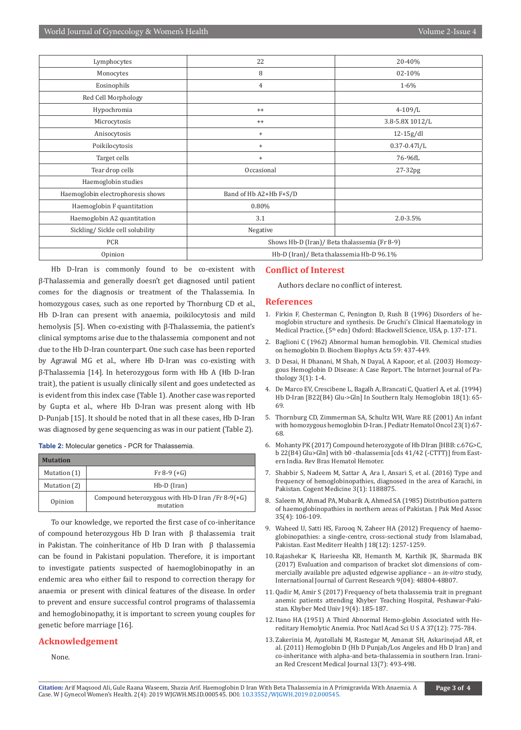| Lymphocytes                       | 22                                           | 20-40%            |
|-----------------------------------|----------------------------------------------|-------------------|
| Monocytes                         | 8                                            | 02-10%            |
| Eosinophils                       | 4                                            | $1 - 6\%$         |
| Red Cell Morphology               |                                              |                   |
| Hypochromia                       | $^{++}$                                      | $4 - 109/L$       |
| Microcytosis                      | $^{++}$                                      | 3.8-5.8X 1012/L   |
| Anisocytosis                      | $\ddot{}$                                    | $12-15g/dl$       |
| Poikilocytosis                    | $^{+}$                                       | $0.37 - 0.47$ ]/L |
| Target cells                      | $\begin{array}{c} + \end{array}$             | 76-96fL           |
| Tear drop cells                   | Occasional                                   | $27-32pg$         |
| Haemoglobin studies               |                                              |                   |
| Haemoglobin electrophoresis shows | Band of Hb A2+Hb F+S/D                       |                   |
| Haemoglobin F quantitation        | 0.80%                                        |                   |
| Haemoglobin A2 quantitation       | 3.1                                          | $2.0 - 3.5\%$     |
| Sickling/ Sickle cell solubility  | Negative                                     |                   |
| <b>PCR</b>                        | Shows Hb-D (Iran)/ Beta thalassemia (Fr 8-9) |                   |
| Opinion                           | Hb-D (Iran)/ Beta thalassemia Hb-D 96.1%     |                   |

Hb D-Iran is commonly found to be co-existent with β-Thalassemia and generally doesn't get diagnosed until patient comes for the diagnosis or treatment of the Thalassemia. In homozygous cases, such as one reported by Thornburg CD et al., Hb D-Iran can present with anaemia, poikilocytosis and mild hemolysis [5]. When co-existing with β-Thalassemia, the patient's clinical symptoms arise due to the thalassemia component and not due to the Hb D-Iran counterpart. One such case has been reported by Agrawal MG et al., where Hb D-Iran was co-existing with β-Thalassemia [14]. In heterozygous form with Hb A (Hb D-Iran trait), the patient is usually clinically silent and goes undetected as is evident from this index case (Table 1). Another case was reported by Gupta et al., where Hb D-Iran was present along with Hb D-Punjab [15]. It should be noted that in all these cases, Hb D-Iran was diagnosed by gene sequencing as was in our patient (Table 2).

**Table 2:** Molecular genetics - PCR for Thalassemia.

| <b>Mutation</b> |                                                              |  |
|-----------------|--------------------------------------------------------------|--|
| Mutation (1)    | Fr 8-9 $(+G)$                                                |  |
| Mutation (2)    | $Hb-D$ (Iran)                                                |  |
| Opinion         | Compound heterozygous with Hb-D Iran /Fr 8-9(+G)<br>mutation |  |

To our knowledge, we reported the first case of co-inheritance of compound heterozygous Hb D Iran with β thalassemia trait in Pakistan. The coinheritance of Hb D Iran with β thalassemia can be found in Pakistani population. Therefore, it is important to investigate patients suspected of haemoglobinopathy in an endemic area who either fail to respond to correction therapy for anaemia or present with clinical features of the disease. In order to prevent and ensure successful control programs of thalassemia and hemoglobinopathy, it is important to screen young couples for genetic before marriage [16].

#### **Acknowledgement**

None.

#### **Conflict of Interest**

Authors declare no conflict of interest.

#### **References**

- 1. Firkin F, Chesterman C, Penington D, Rush B (1996) Disorders of hemoglobin structure and synthesis. De Gruchi's Clinical Haematology in Medical Practice, (5<sup>th</sup> edn) Oxford: Blackwell Science, USA, p. 137-171.
- 2. [Baglioni C \(1962\) Abnormal human hemoglobin. VII. Chemical studies](https://www.ncbi.nlm.nih.gov/pubmed/13863930)  [on hemoglobin D. Biochem Biophys Acta 59: 437-449.](https://www.ncbi.nlm.nih.gov/pubmed/13863930)
- 3. D Desai, H Dhanani, M Shah, N Dayal, A Kapoor, et al. (2003) Homozygous Hemoglobin D Disease: A Case Report. The Internet Journal of Pathology 3(1): 1-4.
- 4. [De Marco EV, Crescibene L, Bagalh A, Brancati C, Quatierl A, et al. \(1994\)](https://www.tandfonline.com/doi/abs/10.3109/03630269409014148?journalCode=ihem20)  [Hb D-Iran \[B22\(B4\) Glu->Gln\] In Southern Italy. Hemoglobin 18\(1\): 65-](https://www.tandfonline.com/doi/abs/10.3109/03630269409014148?journalCode=ihem20) [69.](https://www.tandfonline.com/doi/abs/10.3109/03630269409014148?journalCode=ihem20)
- 5. [Thornburg CD, Zimmerman SA, Schultz WH, Ware RE \(2001\) An infant](https://www.ncbi.nlm.nih.gov/pubmed/11196276)  [with homozygous hemoglobin D-Iran. J Pediatr Hematol Oncol 23\(1\):67-](https://www.ncbi.nlm.nih.gov/pubmed/11196276) [68.](https://www.ncbi.nlm.nih.gov/pubmed/11196276)
- 6. Mohanty PK (2017) Compound heterozygote of Hb DIran [HBB: c.67G>C, b 22(B4) Glu>Gln] with b0 -thalassemia [cds 41/42 (-CTTT)] from Eastern India. Rev Bras Hematol Hemoter.
- 7. [Shabbir S, Nadeem M, Sattar A, Ara I, Ansari S, et al. \(2016\) Type and](https://www.tandfonline.com/doi/full/10.1080/2331205X.2016.1188875)  [frequency of hemoglobinopathies, diagnosed in the area of Karachi, in](https://www.tandfonline.com/doi/full/10.1080/2331205X.2016.1188875)  [Pakistan. Cogent Medicine 3\(1\): 1188875.](https://www.tandfonline.com/doi/full/10.1080/2331205X.2016.1188875)
- 8. [Saleem M, Ahmad PA, Mubarik A, Ahmed SA \(1985\) Distribution pattern](https://www.ncbi.nlm.nih.gov/pubmed/3927021)  [of haemoglobinopathies in northern areas of Pakistan. J Pak Med Assoc](https://www.ncbi.nlm.nih.gov/pubmed/3927021)  [35\(4\): 106-109.](https://www.ncbi.nlm.nih.gov/pubmed/3927021)
- 9. [Waheed U, Satti HS, Farooq N, Zaheer HA \(2012\) Frequency of haemo](https://www.ncbi.nlm.nih.gov/pubmed/23301402)[globinopathies: a single-centre, cross-sectional study from Islamabad,](https://www.ncbi.nlm.nih.gov/pubmed/23301402)  [Pakistan. East Mediterr Health J 18\(12\): 1257-1259.](https://www.ncbi.nlm.nih.gov/pubmed/23301402)
- 10. Rajashekar K, Harieesha KB, Hemanth M, Karthik JK, Sharmada BK (2017) Evaluation and comparison of bracket slot dimensions of commercially available pre adjusted edgewise appliance – an *in-vitro* study, International Journal of Current Research 9(04): 48804-48807.
- 11. Qadir M, Amir S (2017) Frequency of beta thalassemia trait in pregnant anemic patients attending Khyber Teaching Hospital, Peshawar-Pakistan. Khyber Med Univ J 9(4): 185-187.
- 12. [Itano HA \(1951\) A Third Abnormal Hemo-globin Associated with He](https://www.ncbi.nlm.nih.gov/pubmed/16589027)[reditary Hemolytic Anemia. Proc Natl Acad Sci U S A 37\(12\): 775-784.](https://www.ncbi.nlm.nih.gov/pubmed/16589027)
- 13. Zakerinia M, Ayatollahi M, Rastegar M, Amanat SH, Askarinejad AR, et al. (2011) Hemoglobin D (Hb D Punjab/Los Angeles and Hb D Iran) and co-inheritance with alpha-and beta-thalassemia in southern Iran. Iranian Red Crescent Medical Journal 13(7): 493-498.